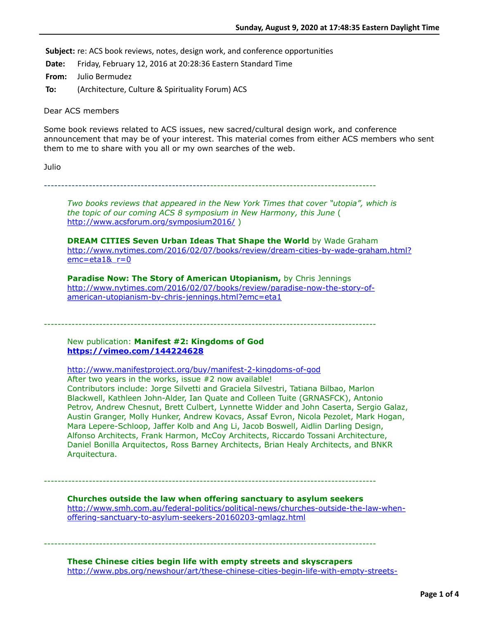**Subject:** re: ACS book reviews, notes, design work, and conference opportunities

**Date:** Friday, February 12, 2016 at 20:28:36 Eastern Standard Time

**From:** Julio Bermudez

**To:** (Architecture, Culture & Spirituality Forum) ACS

Dear ACS members

Some book reviews related to ACS issues, new sacred/cultural design work, and conference announcement that may be of your interest. This material comes from either ACS members who sent them to me to share with you all or my own searches of the web.

Julio

------------------------------------------------------------------------------------------------

*Two books reviews that appeared in the New York Times that cover "utopia", which is the topic of our coming ACS 8 symposium in New Harmony, this June* ( <http://www.acsforum.org/symposium2016/>)

**DREAM CITIES Seven Urban Ideas That Shape the World** by Wade Graham [http://www.nytimes.com/2016/02/07/books/review/dream-cities-by-wade-graham.html?](http://www.nytimes.com/2016/02/07/books/review/dream-cities-by-wade-graham.html?emc=eta1&_r=0)  $emc=eta18$   $r=0$ 

**Paradise Now: The Story of American Utopianism,** by Chris Jennings [http://www.nytimes.com/2016/02/07/books/review/paradise-now-the-story-of](http://www.nytimes.com/2016/02/07/books/review/paradise-now-the-story-of-american-utopianism-by-chris-jennings.html?emc=eta1)american-utopianism-by-chris-jennings.html?emc=eta1

------------------------------------------------------------------------------------------------

### New publication: **Manifest #2: Kingdoms of God <https://vimeo.com/144224628>**

<http://www.manifestproject.org/buy/manifest-2-kingdoms-of-god> After two years in the works, issue #2 now available! Contributors include: Jorge Silvetti and Graciela Silvestri, Tatiana Bilbao, Marlon Blackwell, Kathleen John-Alder, Ian Quate and Colleen Tuite (GRNASFCK), Antonio Petrov, Andrew Chesnut, Brett Culbert, Lynnette Widder and John Caserta, Sergio Galaz, Austin Granger, Molly Hunker, Andrew Kovacs, Assaf Evron, Nicola Pezolet, Mark Hogan, Mara Lepere-Schloop, Jaffer Kolb and Ang Li, Jacob Boswell, Aidlin Darling Design, Alfonso Architects, Frank Harmon, McCoy Architects, Riccardo Tossani Architecture, Daniel Bonilla Arquitectos, Ross Barney Architects, Brian Healy Architects, and BNKR Arquitectura.

**Churches outside the law when offering sanctuary to asylum seekers** [http://www.smh.com.au/federal-politics/political-news/churches-outside-the-law-when](http://www.smh.com.au/federal-politics/political-news/churches-outside-the-law-when-offering-sanctuary-to-asylum-seekers-20160203-gmlagz.html)offering-sanctuary-to-asylum-seekers-20160203-gmlagz.html

**These Chinese cities begin life with empty streets and skyscrapers**

------------------------------------------------------------------------------------------------

------------------------------------------------------------------------------------------------

[http://www.pbs.org/newshour/art/these-chinese-cities-begin-life-with-empty-streets-](http://www.pbs.org/newshour/art/these-chinese-cities-begin-life-with-empty-streets-and-skyscrapers/)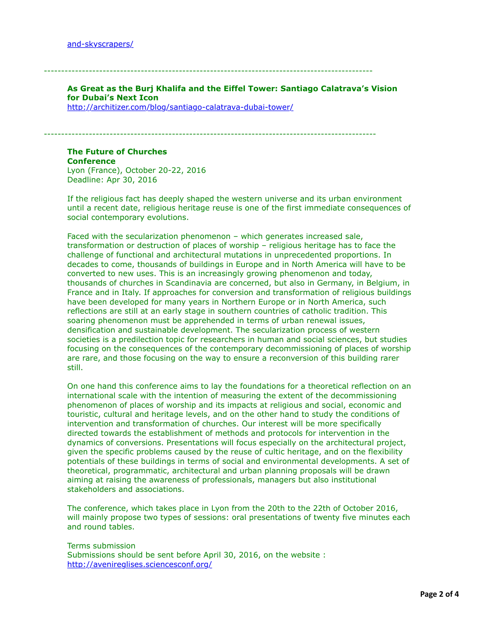#### -----------------------------------------------------------------------------------------------

### **As Great as the Burj Khalifa and the Eiffel Tower: Santiago Calatrava's Vision for Dubai's Next Icon**

<http://architizer.com/blog/santiago-calatrava-dubai-tower/>

------------------------------------------------------------------------------------------------

## **The Future of Churches**

**Conference** Lyon (France), October 20-22, 2016 Deadline: Apr 30, 2016

If the religious fact has deeply shaped the western universe and its urban environment until a recent date, religious heritage reuse is one of the first immediate consequences of social contemporary evolutions.

Faced with the secularization phenomenon – which generates increased sale, transformation or destruction of places of worship – religious heritage has to face the challenge of functional and architectural mutations in unprecedented proportions. In decades to come, thousands of buildings in Europe and in North America will have to be converted to new uses. This is an increasingly growing phenomenon and today, thousands of churches in Scandinavia are concerned, but also in Germany, in Belgium, in France and in Italy. If approaches for conversion and transformation of religious buildings have been developed for many years in Northern Europe or in North America, such reflections are still at an early stage in southern countries of catholic tradition. This soaring phenomenon must be apprehended in terms of urban renewal issues, densification and sustainable development. The secularization process of western societies is a predilection topic for researchers in human and social sciences, but studies focusing on the consequences of the contemporary decommissioning of places of worship are rare, and those focusing on the way to ensure a reconversion of this building rarer still.

On one hand this conference aims to lay the foundations for a theoretical reflection on an international scale with the intention of measuring the extent of the decommissioning phenomenon of places of worship and its impacts at religious and social, economic and touristic, cultural and heritage levels, and on the other hand to study the conditions of intervention and transformation of churches. Our interest will be more specifically directed towards the establishment of methods and protocols for intervention in the dynamics of conversions. Presentations will focus especially on the architectural project, given the specific problems caused by the reuse of cultic heritage, and on the flexibility potentials of these buildings in terms of social and environmental developments. A set of theoretical, programmatic, architectural and urban planning proposals will be drawn aiming at raising the awareness of professionals, managers but also institutional stakeholders and associations.

The conference, which takes place in Lyon from the 20th to the 22th of October 2016, will mainly propose two types of sessions: oral presentations of twenty five minutes each and round tables.

Terms submission Submissions should be sent before April 30, 2016, on the website : <http://avenireglises.sciencesconf.org/>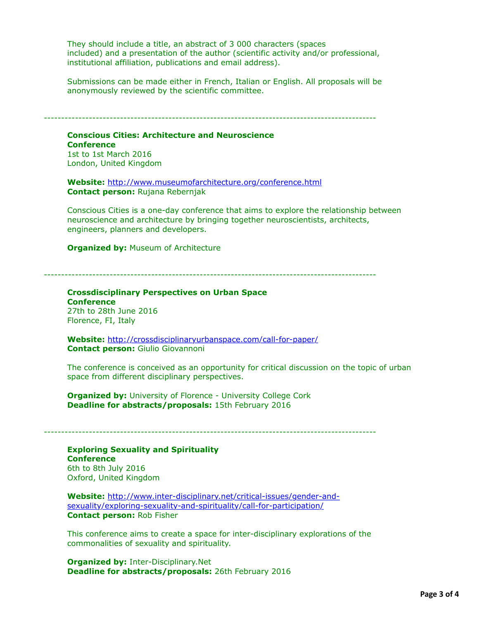They should include a title, an abstract of 3 000 characters (spaces included) and a presentation of the author (scientific activity and/or professional, institutional affiliation, publications and email address).

Submissions can be made either in French, Italian or English. All proposals will be anonymously reviewed by the scientific committee.

------------------------------------------------------------------------------------------------

# **Conscious Cities: Architecture and Neuroscience Conference**

1st to 1st March 2016 London, United Kingdom

**Website:** <http://www.museumofarchitecture.org/conference.html> **Contact person:** Rujana Rebernjak

Conscious Cities is a one-day conference that aims to explore the relationship between neuroscience and architecture by bringing together neuroscientists, architects, engineers, planners and developers.

**Organized by: Museum of Architecture** 

------------------------------------------------------------------------------------------------

**Crossdisciplinary Perspectives on Urban Space Conference** 27th to 28th June 2016 Florence, FI, Italy

**Website:** <http://crossdisciplinaryurbanspace.com/call-for-paper/> **Contact person:** Giulio Giovannoni

The conference is conceived as an opportunity for critical discussion on the topic of urban space from different disciplinary perspectives.

**Organized by: University of Florence - University College Cork Deadline for abstracts/proposals:** 15th February 2016

------------------------------------------------------------------------------------------------

**Exploring Sexuality and Spirituality Conference** 6th to 8th July 2016 Oxford, United Kingdom

**Website:** http://www.inter-disciplinary.net/critical-issues/gender-and[sexuality/exploring-sexuality-and-spirituality/call-for-participation/](http://www.inter-disciplinary.net/critical-issues/gender-and-sexuality/exploring-sexuality-and-spirituality/call-for-participation/) **Contact person:** Rob Fisher

This conference aims to create a space for inter-disciplinary explorations of the commonalities of sexuality and spirituality.

**Organized by:** Inter-Disciplinary.Net **Deadline for abstracts/proposals:** 26th February 2016